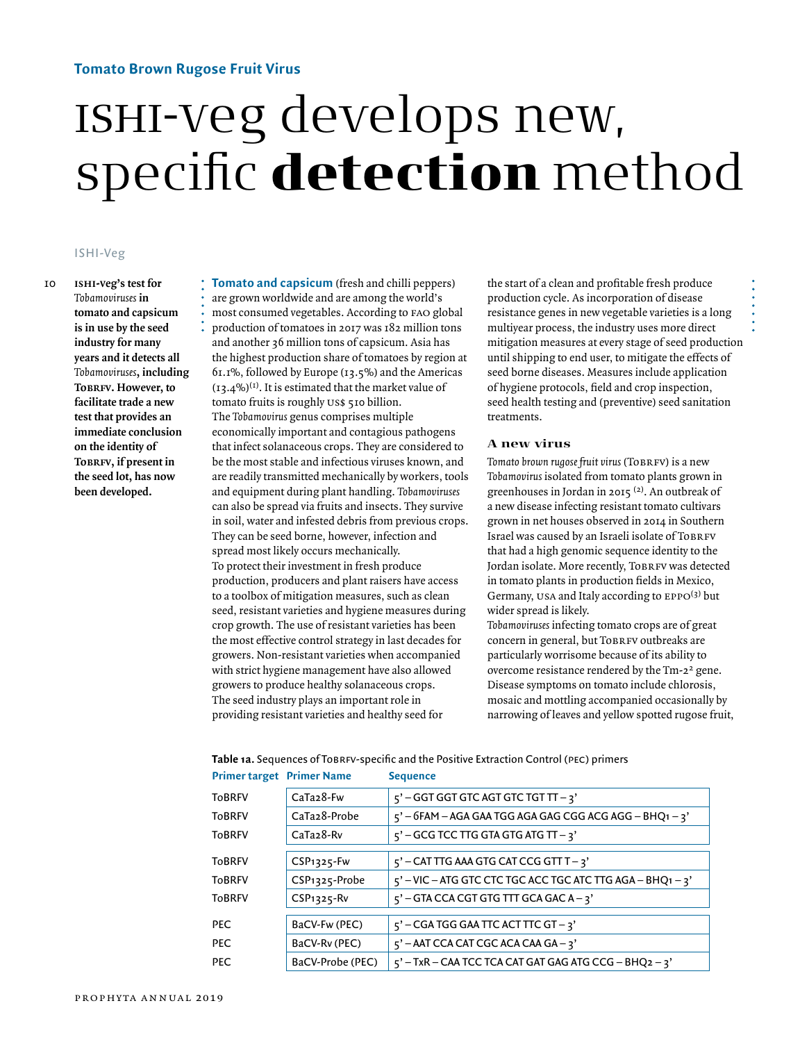## **Tomato Brown Rugose Fruit Virus**

# ishi-veg develops new, specific detection method

## ISHI-Veg

**ishi-veg's test for**  *Tobamoviruses* **in tomato and capsicum is in use by the seed industry for many years and it detects all**  *Tobamoviruses***, including ToBRFV. However**, to **facilitate trade a new test that provides an immediate conclusion on the identity of TOBRFV**, if present in **the seed lot, has now been developed.**

10 **Tomato and capsicum** (fresh and chilli peppers) are grown worldwide and are among the world's most consumed vegetables. According to fao global production of tomatoes in 2017 was 182 million tons and another 36 million tons of capsicum. Asia has the highest production share of tomatoes by region at 61.1%, followed by Europe (13.5%) and the Americas  $(13.4\%)$ <sup>(1)</sup>. It is estimated that the market value of tomato fruits is roughly us\$ 510 billion. The *Tobamovirus* genus comprises multiple economically important and contagious pathogens that infect solanaceous crops. They are considered to be the most stable and infectious viruses known, and are readily transmitted mechanically by workers, tools and equipment during plant handling. *Tobamoviruses* can also be spread via fruits and insects. They survive in soil, water and infested debris from previous crops. They can be seed borne, however, infection and spread most likely occurs mechanically. To protect their investment in fresh produce production, producers and plant raisers have access to a toolbox of mitigation measures, such as clean seed, resistant varieties and hygiene measures during crop growth. The use of resistant varieties has been the most effective control strategy in last decades for growers. Non-resistant varieties when accompanied with strict hygiene management have also allowed growers to produce healthy solanaceous crops. The seed industry plays an important role in providing resistant varieties and healthy seed for

the start of a clean and profitable fresh produce production cycle. As incorporation of disease resistance genes in new vegetable varieties is a long multiyear process, the industry uses more direct mitigation measures at every stage of seed production until shipping to end user, to mitigate the effects of seed borne diseases. Measures include application of hygiene protocols, field and crop inspection, seed health testing and (preventive) seed sanitation treatments.

#### **A new virus**

Tomato brown rugose fruit virus (ToBRFV) is a new *Tobamovirus* isolated from tomato plants grown in greenhouses in Jordan in 2015 (2). An outbreak of a new disease infecting resistant tomato cultivars grown in net houses observed in 2014 in Southern Israel was caused by an Israeli isolate of ToBRFV that had a high genomic sequence identity to the Jordan isolate. More recently, ToBRFV was detected in tomato plants in production fields in Mexico, Germany, USA and Italy according to EPPO<sup>(3)</sup> but wider spread is likely.

*Tobamoviruses* infecting tomato crops are of great concern in general, but ToBRFV outbreaks are particularly worrisome because of its ability to overcome resistance rendered by the Tm-22 gene. Disease symptoms on tomato include chlorosis, mosaic and mottling accompanied occasionally by narrowing of leaves and yellow spotted rugose fruit,

| Primer target Primer Name |                        | <b>Sequence</b>                                              |
|---------------------------|------------------------|--------------------------------------------------------------|
| ToBRFV                    | CaTa <sub>2</sub> 8-Fw | $5'$ – GGT GGT GTC AGT GTC TGT TT – 3'                       |
| <b>ToBRFV</b>             | CaTa28-Probe           | $5'$ – 6FAM – AGA GAA TGG AGA GAG CGG ACG AGG – BHQ1 – 3'    |
| <b>ToBRFV</b>             | CaTa <sub>2</sub> 8-Rv | $5'$ – GCG TCC TTG GTA GTG ATG TT – 3'                       |
|                           |                        |                                                              |
| <b>ToBRFV</b>             | $CSP1325$ -Fw          | $5'$ – CAT TTG AAA GTG CAT CCG GTT T – 3'                    |
| ToBRFV                    | CSP1325-Probe          | $5'$ – VIC – ATG GTC CTC TGC ACC TGC ATC TTG AGA – BHQ1 – 3' |
| ToBRFV                    | $CSP1325$ -Rv          | $5'$ – GTA CCA CGT GTG TTT GCA GAC A – 3'                    |
|                           |                        |                                                              |
| PEC                       | BaCV-Fw (PEC)          | $5'$ – CGA TGG GAA TTC ACT TTC GT – 3'                       |
| PEC                       | BaCV-Rv (PEC)          | $5'$ – AAT CCA CAT CGC ACA CAA GA – 3'                       |
| PEC                       | BaCV-Probe (PEC)       | $5'$ – TxR – CAA TCC TCA CAT GAT GAG ATG CCG – BHQ2 – 3'     |

#### Table 1a. Sequences of ToBRFV-specific and the Positive Extraction Control (PEC) primers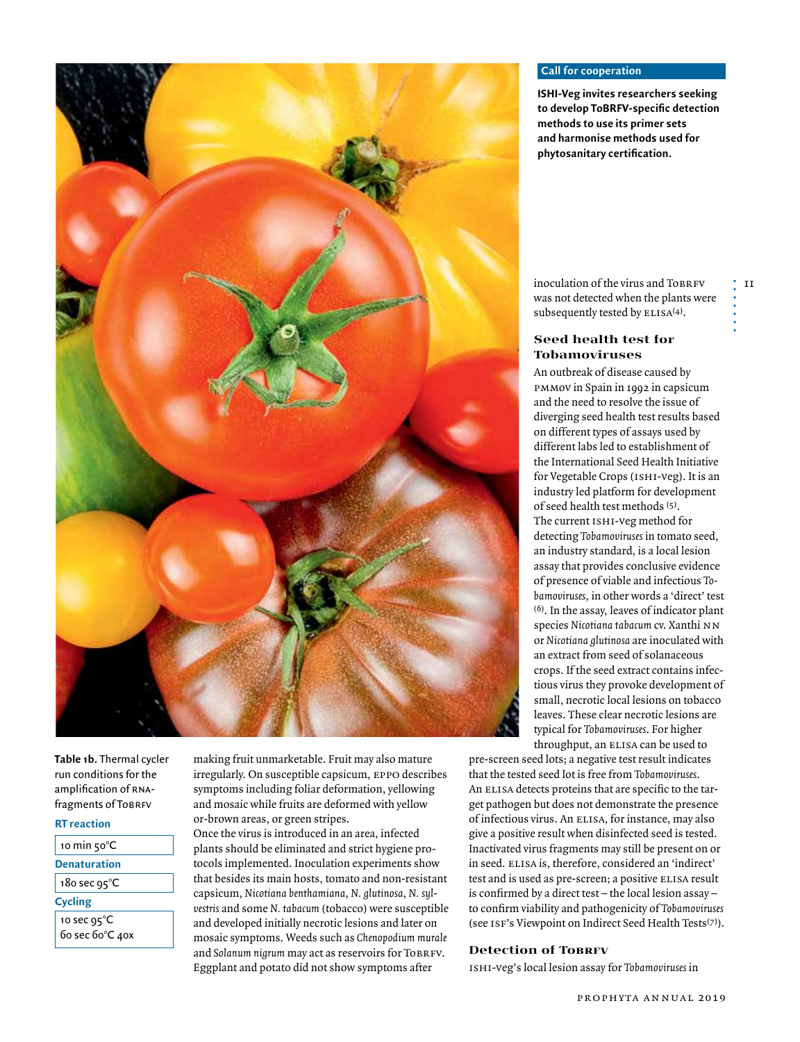

**Table 1b.** Thermal cycler run conditions for the amplification of rnafragments of ToBRFV

#### **RT reaction**

| 10 min $50^{\circ}$ |
|---------------------|
| Denaturation        |

| 5PC<br>. . |  |
|------------|--|

## **Cycling**

10 sec 95°C 60 sec 60°C 40x

making fruit unmarketable. Fruit may also mature irregularly. On susceptible capsicum, eppo describes symptoms including foliar deformation, yellowing and mosaic while fruits are deformed with yellow or-brown areas, or green stripes.

Once the virus is introduced in an area, infected plants should be eliminated and strict hygiene protocols implemented. Inoculation experiments show that besides its main hosts, tomato and non-resistant capsicum, *Nicotiana benthamiana*, *N. glutinosa*, *N. sylvestris* and some *N. tabacum* (tobacco) were susceptible and developed initially necrotic lesions and later on mosaic symptoms. Weeds such as *Chenopodium murale* and Solanum nigrum may act as reservoirs for ToBRFV. Eggplant and potato did not show symptoms after

## **Call for cooperation**

**ISHI-Veg invites researchers seeking to develop ToBRFV-specific detection methods to use its primer sets and harmonise methods used for phytosanitary certification.** 

inoculation of the virus and ToBRFV was not detected when the plants were subsequently tested by  $ELISA(4)$ .

 $^{\prime}$  11

## **Seed health test for Tobamoviruses**

An outbreak of disease caused by pmmov in Spain in 1992 in capsicum and the need to resolve the issue of diverging seed health test results based on different types of assays used by different labs led to establishment of the International Seed Health Initiative for Vegetable Crops (ishi-veg). It is an industry led platform for development of seed health test methods (5). The current ISHI-veg method for detecting *Tobamoviruses* in tomato seed, an industry standard, is a local lesion assay that provides conclusive evidence of presence of viable and infectious *Tobamoviruses*, in other words a 'direct' test (6). In the assay, leaves of indicator plant species *Nicotiana tabacum* cv. Xanthi nn or *Nicotiana glutinosa* are inoculated with an extract from seed of solanaceous crops. If the seed extract contains infectious virus they provoke development of small, necrotic local lesions on tobacco leaves. These clear necrotic lesions are typical for *Tobamoviruses*. For higher throughput, an ELISA can be used to

pre-screen seed lots; a negative test result indicates that the tested seed lot is free from *Tobamoviruses*. An ELISA detects proteins that are specific to the target pathogen but does not demonstrate the presence of infectious virus. An ELISA, for instance, may also give a positive result when disinfected seed is tested. Inactivated virus fragments may still be present on or in seed. ELISA is, therefore, considered an 'indirect' test and is used as pre-screen; a positive ELISA result is confirmed by a direct test – the local lesion assay – to confirm viability and pathogenicity of *Tobamoviruses* (see ISF's Viewpoint on Indirect Seed Health Tests<sup>(7)</sup>).

#### **Detection of TobRFV**

ishi-veg's local lesion assay for *Tobamoviruses* in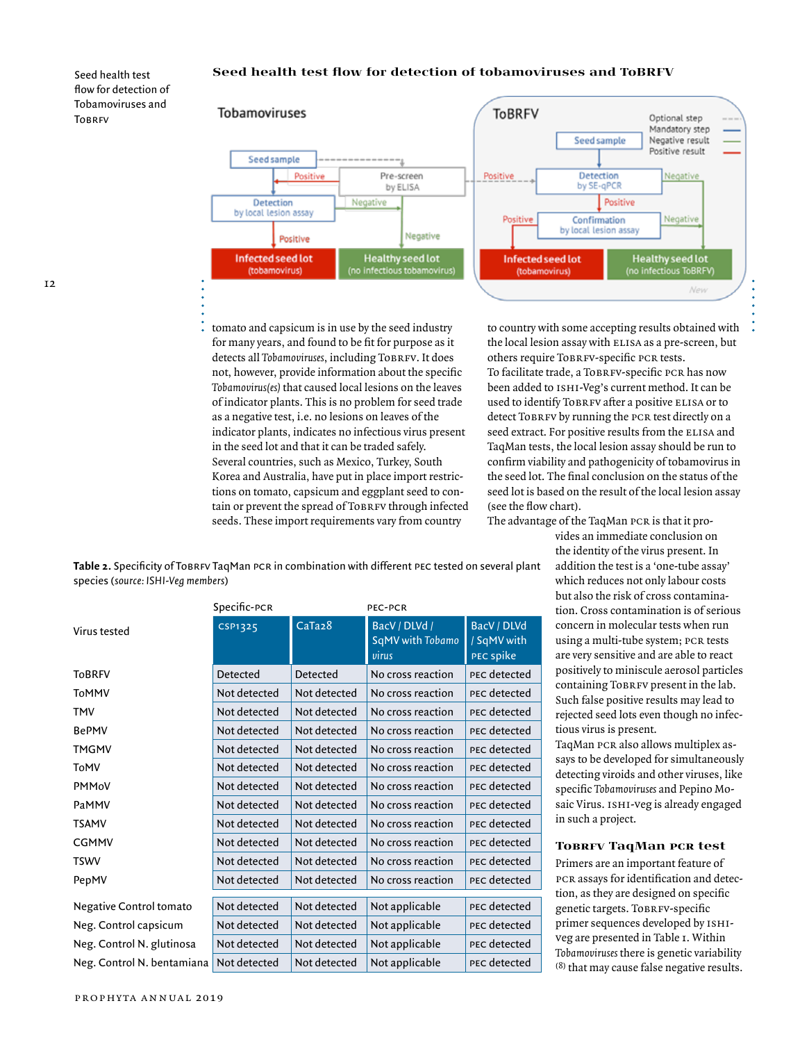#### **Seed health test flow for detection of tobamoviruses and ToBRFV**

Seed health test flow for detection of Tobamoviruses and TORDEV



tomato and capsicum is in use by the seed industry for many years, and found to be fit for purpose as it detects all *Tobamoviruses*, including ToBRFV. It does not, however, provide information about the specific *Tobamovirus(es)* that caused local lesions on the leaves of indicator plants. This is no problem for seed trade as a negative test, i.e. no lesions on leaves of the indicator plants, indicates no infectious virus present in the seed lot and that it can be traded safely. Several countries, such as Mexico, Turkey, South Korea and Australia, have put in place import restrictions on tomato, capsicum and eggplant seed to conto country with some accepting results obtained with the local lesion assay with ELISA as a pre-screen, but others require ToBRFV-specific PCR tests. To facilitate trade, a ToBRFV-specific PCR has now been added to ishi-Veg's current method. It can be used to identify ToBRFV after a positive ELISA or to detect Tobrev by running the PCR test directly on a seed extract. For positive results from the ELISA and TaqMan tests, the local lesion assay should be run to confirm viability and pathogenicity of tobamovirus in the seed lot. The final conclusion on the status of the

seed lot is based on the result of the local lesion assay (see the flow chart).

The advantage of the TaqMan PCR is that it pro-

vides an immediate conclusion on the identity of the virus present. In addition the test is a 'one-tube assay' which reduces not only labour costs but also the risk of cross contamination. Cross contamination is of serious concern in molecular tests when run using a multi-tube system; PCR tests are very sensitive and are able to react positively to miniscule aerosol particles containing ToBRFV present in the lab. Such false positive results may lead to rejected seed lots even though no infectious virus is present.

TaqMan pcr also allows multiplex assays to be developed for simultaneously detecting viroids and other viruses, like specific *Tobamoviruses* and Pepino Mosaic Virus. ISHI-veg is already engaged in such a project.

## **Tobrfv TaqMan pcr test**

Primers are an important feature of pcr assays for identification and detection, as they are designed on specific genetic targets. ToBRFV-specific primer sequences developed by ishiveg are presented in Table 1. Within *Tobamoviruses* there is genetic variability (8) that may cause false negative results.

tain or prevent the spread of Tobrey through infected seeds. These import requirements vary from country

Table 2. Specificity of Tobr<sub>FV</sub> TaqMan pcr in combination with different pec tested on several plant species (*source: ISHI-Veg members*)

|                            | Specific-PCR   |                     | PEC-PCR                                    |                                         |
|----------------------------|----------------|---------------------|--------------------------------------------|-----------------------------------------|
| Virus tested               | <b>CSP1325</b> | CaTa <sub>2</sub> 8 | BacV / DLVd /<br>SqMV with Tobamo<br>virus | BacV / DLVd<br>/ SqMV with<br>PEC spike |
| <b>ToBRFV</b>              | Detected       | Detected            | No cross reaction                          | PEC detected                            |
| ToMMV                      | Not detected   | Not detected        | No cross reaction                          | PEC detected                            |
| TMV                        | Not detected   | Not detected        | No cross reaction                          | PEC detected                            |
| <b>BePMV</b>               | Not detected   | Not detected        | No cross reaction                          | PEC detected                            |
| TMGMV                      | Not detected   | Not detected        | No cross reaction                          | PEC detected                            |
| ToMV                       | Not detected   | Not detected        | No cross reaction                          | PEC detected                            |
| PMMoV                      | Not detected   | Not detected        | No cross reaction                          | PEC detected                            |
| PaMMV                      | Not detected   | Not detected        | No cross reaction                          | PEC detected                            |
| <b>TSAMV</b>               | Not detected   | Not detected        | No cross reaction                          | PEC detected                            |
| <b>CGMMV</b>               | Not detected   | Not detected        | No cross reaction                          | PEC detected                            |
| <b>TSWV</b>                | Not detected   | Not detected        | No cross reaction                          | PEC detected                            |
| PepMV                      | Not detected   | Not detected        | No cross reaction                          | PEC detected                            |
| Negative Control tomato    | Not detected   | Not detected        | Not applicable                             | PEC detected                            |
| Neg. Control capsicum      | Not detected   | Not detected        | Not applicable                             | PEC detected                            |
| Neg. Control N. glutinosa  | Not detected   | Not detected        | Not applicable                             | PEC detected                            |
| Neg. Control N. bentamiana | Not detected   | Not detected        | Not applicable                             | PEC detected                            |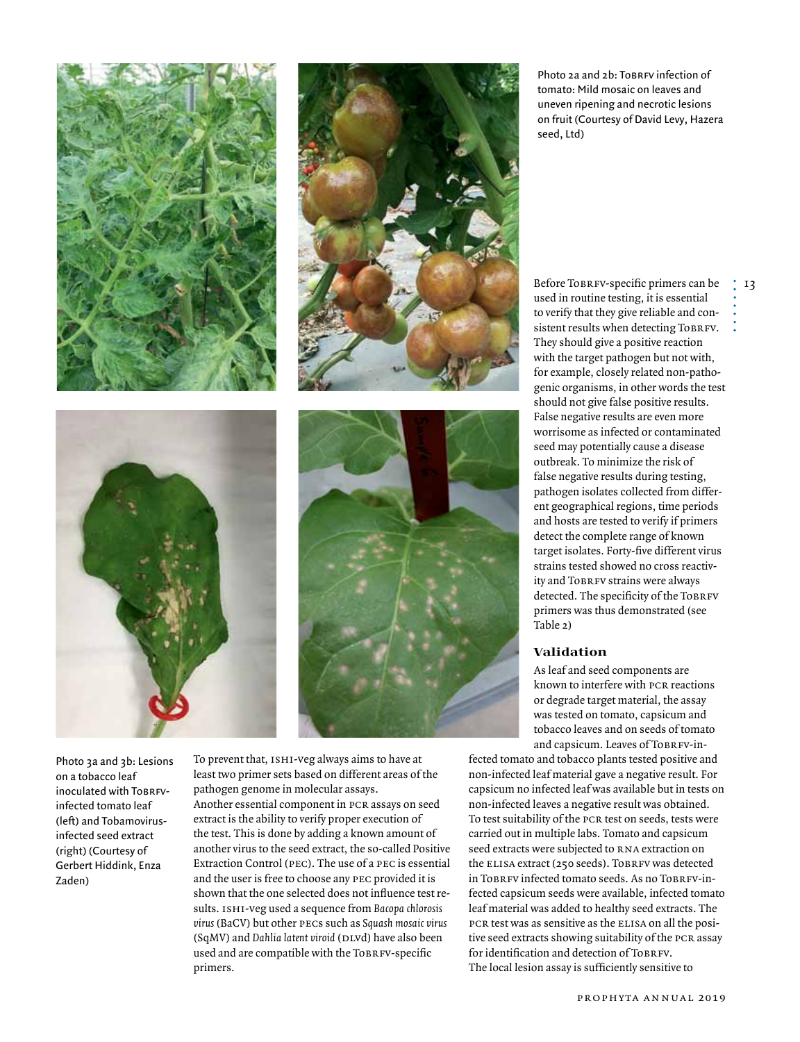





![](_page_3_Picture_3.jpeg)

Photo 3a and 3b: Lesions on a tobacco leaf inoculated with TobrFvinfected tomato leaf (left) and Tobamovirusinfected seed extract (right) (Courtesy of Gerbert Hiddink, Enza Zaden)

To prevent that, ISHI-veg always aims to have at least two primer sets based on different areas of the pathogen genome in molecular assays. Another essential component in pcr assays on seed extract is the ability to verify proper execution of the test. This is done by adding a known amount of another virus to the seed extract, the so-called Positive Extraction Control (pec). The use of a pec is essential and the user is free to choose any pec provided it is shown that the one selected does not influence test results. ishi-veg used a sequence from *Bacopa chlorosis virus* (BaCV) but other pecs such as *Squash mosaic virus* (SqMV) and *Dahlia latent viroid* (DLvd) have also been used and are compatible with the ToBRFV-specific primers.

Photo 24 and 2b: To BREV infection of tomato: Mild mosaic on leaves and uneven ripening and necrotic lesions on fruit (Courtesy of David Levy, Hazera seed, Ltd)

Before ToBRFV-specific primers can be used in routine testing, it is essential to verify that they give reliable and consistent results when detecting ToBRFV. They should give a positive reaction with the target pathogen but not with, for example, closely related non-pathogenic organisms, in other words the test should not give false positive results. False negative results are even more worrisome as infected or contaminated seed may potentially cause a disease outbreak. To minimize the risk of false negative results during testing, pathogen isolates collected from different geographical regions, time periods and hosts are tested to verify if primers detect the complete range of known target isolates. Forty-five different virus strains tested showed no cross reactivity and ToBRFV strains were always detected. The specificity of the ToBRFV primers was thus demonstrated (see Table 2)

#### **Validation**

As leaf and seed components are known to interfere with PCR reactions or degrade target material, the assay was tested on tomato, capsicum and tobacco leaves and on seeds of tomato and capsicum. Leaves of ToBRFV-in-

fected tomato and tobacco plants tested positive and non-infected leaf material gave a negative result. For capsicum no infected leaf was available but in tests on non-infected leaves a negative result was obtained. To test suitability of the pcr test on seeds, tests were carried out in multiple labs. Tomato and capsicum seed extracts were subjected to RNA extraction on the ELISA extract (250 seeds). ToBRFV was detected in ToBRFV infected tomato seeds. As no ToBRFV-infected capsicum seeds were available, infected tomato leaf material was added to healthy seed extracts. The pcr test was as sensitive as the elisa on all the positive seed extracts showing suitability of the pcr assay for identification and detection of TobrFv. The local lesion assay is sufficiently sensitive to

 $\frac{1}{2}$  13